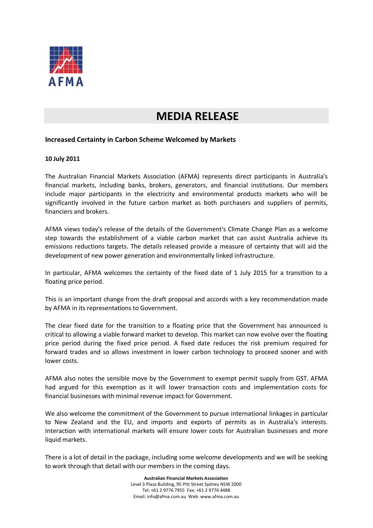

## **MEDIA RELEASE**

## **Increased Certainty in Carbon Scheme Welcomed by Markets**

## **10 July 2011**

The Australian Financial Markets Association (AFMA) represents direct participants in Australia's financial markets, including banks, brokers, generators, and financial institutions. Our members include major participants in the electricity and environmental products markets who will be significantly involved in the future carbon market as both purchasers and suppliers of permits, financiers and brokers.

AFMA views today's release of the details of the Government's Climate Change Plan as a welcome step towards the establishment of a viable carbon market that can assist Australia achieve its emissions reductions targets. The details released provide a measure of certainty that will aid the development of new power generation and environmentally linked infrastructure.

In particular, AFMA welcomes the certainty of the fixed date of 1 July 2015 for a transition to a floating price period.

This is an important change from the draft proposal and accords with a key recommendation made by AFMA in its representations to Government.

The clear fixed date for the transition to a floating price that the Government has announced is critical to allowing a viable forward market to develop. This market can now evolve over the floating price period during the fixed price period. A fixed date reduces the risk premium required for forward trades and so allows investment in lower carbon technology to proceed sooner and with lower costs.

AFMA also notes the sensible move by the Government to exempt permit supply from GST. AFMA had argued for this exemption as it will lower transaction costs and implementation costs for financial businesses with minimal revenue impact for Government.

We also welcome the commitment of the Government to pursue international linkages in particular to New Zealand and the EU, and imports and exports of permits as in Australia's interests. Interaction with international markets will ensure lower costs for Australian businesses and more liquid markets.

There is a lot of detail in the package, including some welcome developments and we will be seeking to work through that detail with our members in the coming days.